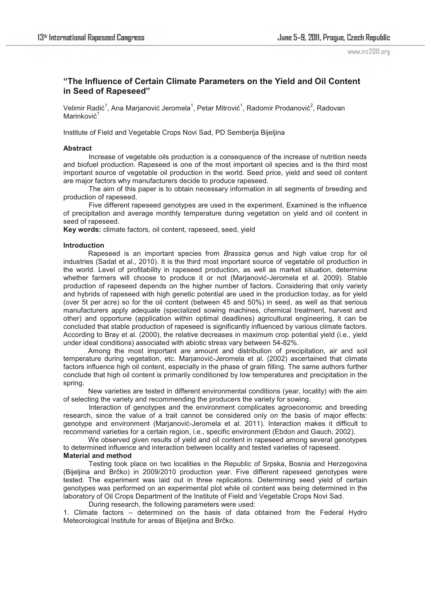www.irc2011.org

# **"The Influence of Certain Climate Parameters on the Yield and Oil Content in Seed of Rapeseed"**

Velimir Radić $^1$ , Ana Marjanović Jeromela $^1$ , Petar Mitrović $^1$ , Radomir Prodanović $^2$ , Radovan Marinković<sup>1</sup>

Institute of Field and Vegetable Crops Novi Sad, PD Semberija Bijeljina

### **Abstract**

Increase of vegetable oils production is a consequence of the increase of nutrition needs and biofuel production. Rapeseed is one of the most important oil species and is the third most important source of vegetable oil production in the world. Seed price, yield and seed oil content are major factors why manufacturers decide to produce rapeseed.

 The aim of this paper is to obtain necessary information in all segments of breeding and production of rapeseed.

 Five different rapeseed genotypes are used in the experiment. Examined is the influence of precipitation and average monthly temperature during vegetation on yield and oil content in seed of rapeseed.

**Key words:** climate factors, oil content, rapeseed, seed, yield

#### **Introduction**

Rapeseed is an important species from *Brassica* genus and high value crop for oil industries (Sadat et al., 2010). It is the third most important source of vegetable oil production in the world. Level of profitability in rapeseed production, as well as market situation, determine whether farmers will choose to produce it or not (Marjanović-Jeromela et al. 2009). Stable production of rapeseed depends on the higher number of factors. Considering that only variety and hybrids of rapeseed with high genetic potential are used in the production today, as for yield (over 5t per acre) so for the oil content (between 45 and 50%) in seed, as well as that serious manufacturers apply adequate (specialized sowing machines, chemical treatment, harvest and other) and opportune (application within optimal deadlines) agricultural engineering, it can be concluded that stable production of rapeseed is significantly influenced by various climate factors. According to Bray et al. (2000), the relative decreases in maximum crop potential yield (i.e., yield under ideal conditions) associated with abiotic stress vary between 54-82%.

Among the most important are amount and distribution of precipitation, air and soil temperature during vegetation, etc. Marjanović-Jeromela et al. (2002) ascertained that climate factors influence high oil content, especially in the phase of grain filling. The same authors further conclude that high oil content is primarily conditioned by low temperatures and precipitation in the spring.

New varieties are tested in different environmental conditions (year, locality) with the aim of selecting the variety and recommending the producers the variety for sowing.

 Interaction of genotypes and the environment complicates agroeconomic and breeding research, since the value of a trait cannot be considered only on the basis of major effects: genotype and environment (Marjanović-Jeromela et al. 2011). Interaction makes it difficult to recommend varieties for a certain region, i.e., specific environment (Ebdon and Gauch, 2002).

We observed given results of yield and oil content in rapeseed among several genotypes to determined influence and interaction between locality and tested varieties of rapeseed.

## **Material and method**

 Testing took place on two localities in the Republic of Srpska, Bosnia and Herzegovina (Bijeljina and Brčko) in 2009/2010 production year. Five different rapeseed genotypes were tested. The experiment was laid out in three replications. Determining seed yield of certain genotypes was performed on an experimental plot while oil content was being determined in the laboratory of Oil Crops Department of the Institute of Field and Vegetable Crops Novi Sad.

During research, the following parameters were used:

1. Climate factors – determined on the basis of data obtained from the Federal Hydro Meteorological Institute for areas of Bijeljina and Brčko.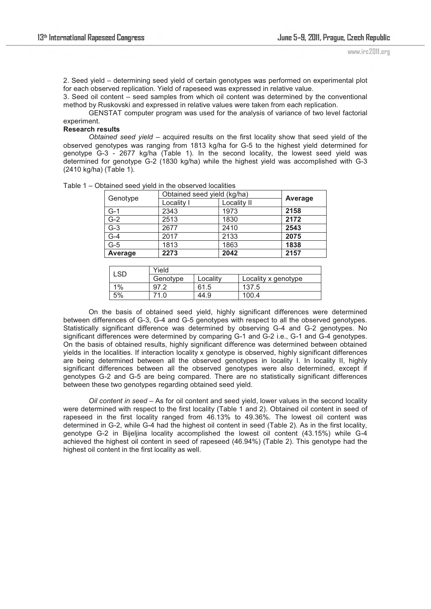2. Seed yield – determining seed yield of certain genotypes was performed on experimental plot for each observed replication. Yield of rapeseed was expressed in relative value.

3. Seed oil content – seed samples from which oil content was determined by the conventional method by Ruskovski and expressed in relative values were taken from each replication.

 GENSTAT computer program was used for the analysis of variance of two level factorial experiment.

#### **Research results**

*Obtained seed yield* – acquired results on the first locality show that seed yield of the observed genotypes was ranging from 1813 kg/ha for G-5 to the highest yield determined for genotype G-3 - 2677 kg/ha (Table 1). In the second locality, the lowest seed yield was determined for genotype G-2 (1830 kg/ha) while the highest yield was accomplished with G-3 (2410 kg/ha) (Table 1).

| Genotype | Obtained seed yield (kg/ha) |             |         |
|----------|-----------------------------|-------------|---------|
|          | Locality I                  | Locality II | Average |
| $G-1$    | 2343                        | 1973        | 2158    |
| $G-2$    | 2513                        | 1830        | 2172    |
| $G-3$    | 2677                        | 2410        | 2543    |
| $G-4$    | 2017                        | 2133        | 2075    |
| $G-5$    | 1813                        | 1863        | 1838    |
| Average  | 2273                        | 2042        | 2157    |

Table 1 – Obtained seed yield in the observed localities

| SD-   | Yield    |          |                     |  |
|-------|----------|----------|---------------------|--|
|       | Genotype | Locality | Locality x genotype |  |
| $1\%$ | 97       | 61.5     | 137.5               |  |
| 5%    | 71.0     | 44.9     | 100.4               |  |

 On the basis of obtained seed yield, highly significant differences were determined between differences of G-3, G-4 and G-5 genotypes with respect to all the observed genotypes. Statistically significant difference was determined by observing G-4 and G-2 genotypes. No significant differences were determined by comparing G-1 and G-2 i.e., G-1 and G-4 genotypes. On the basis of obtained results, highly significant difference was determined between obtained yields in the localities. If interaction locality x genotype is observed, highly significant differences are being determined between all the observed genotypes in locality I. In locality II, highly significant differences between all the observed genotypes were also determined, except if genotypes G-2 and G-5 are being compared. There are no statistically significant differences between these two genotypes regarding obtained seed yield.

*Oil content in seed* – As for oil content and seed yield, lower values in the second locality were determined with respect to the first locality (Table 1 and 2). Obtained oil content in seed of rapeseed in the first locality ranged from 46.13% to 49.36%. The lowest oil content was determined in G-2, while G-4 had the highest oil content in seed (Table 2). As in the first locality, genotype G-2 in Bijeljina locality accomplished the lowest oil content (43.15%) while G-4 achieved the highest oil content in seed of rapeseed (46.94%) (Table 2). This genotype had the highest oil content in the first locality as well.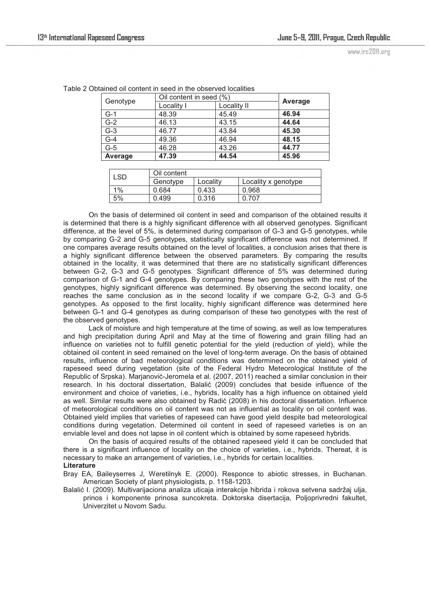www.irc2011.org

| Genotype         |            | Oil content in seed (%) |         |
|------------------|------------|-------------------------|---------|
|                  | Locality I | Locality II             | Average |
| $G-1$            | 48.39      | 45.49                   | 46.94   |
| $\overline{G-2}$ | 46.13      | 43.15                   | 44.64   |
| $G-3$            | 46.77      | 43.84                   | 45.30   |
| $G-4$            | 49.36      | 46.94                   | 48.15   |
| $\overline{G-5}$ | 46.28      | 43.26                   | 44.77   |
| Average          | 47.39      | 44.54                   | 45.96   |

Table 2 Obtained oil content in seed in the observed localities

| _SD. | Oil content |          |                     |  |
|------|-------------|----------|---------------------|--|
|      | Genotype    | Locality | Locality x genotype |  |
| 1%   | 0.684       | 0.433    | 0.968               |  |
| 5%   | 0.499       | 0.316    | 0.707               |  |

 On the basis of determined oil content in seed and comparison of the obtained results it is determined that there is a highly significant difference with all observed genotypes. Significant difference, at the level of 5%, is determined during comparison of G-3 and G-5 genotypes, while by comparing G-2 and G-5 genotypes, statistically significant difference was not determined. If one compares average results obtained on the level of localities, a conclusion arises that there is a highly significant difference between the observed parameters. By comparing the results obtained in the locality, it was determined that there are no statistically significant differences between G-2, G-3 and G-5 genotypes. Significant difference of 5% was determined during comparison of G-1 and G-4 genotypes. By comparing these two genotypes with the rest of the genotypes, highly significant difference was determined. By observing the second locality, one reaches the same conclusion as in the second locality if we compare G-2, G-3 and G-5 genotypes. As opposed to the first locality, highly significant difference was determined here between G-1 and G-4 genotypes as during comparison of these two genotypes with the rest of the observed genotypes.

 Lack of moisture and high temperature at the time of sowing, as well as low temperatures and high precipitation during April and May at the time of flowering and grain filling had an influence on varieties not to fulfill genetic potential for the yield (reduction of yield), while the obtained oil content in seed remained on the level of long-term average. On the basis of obtained results, influence of bad meteorological conditions was determined on the obtained yield of rapeseed seed during vegetation (site of the Federal Hydro Meteorological Institute of the Republic of Srpska). Marjanović-Jeromela et al. (2007, 2011) reached a similar conclusion in their research. In his doctoral dissertation, Balalić (2009) concludes that beside influence of the environment and choice of varieties, i.e., hybrids, locality has a high influence on obtained yield as well. Similar results were also obtained by Radić (2008) in his doctoral dissertation. Influence of meteorological conditions on oil content was not as influential as locality on oil content was. Obtained yield implies that varieties of rapeseed can have good yield despite bad meteorological conditions during vegetation. Determined oil content in seed of rapeseed varieties is on an enviable level and does not lapse in oil content which is obtained by some rapeseed hybrids.

 On the basis of acquired results of the obtained rapeseed yield it can be concluded that there is a significant influence of locality on the choice of varieties, i.e., hybrids. Thereat, it is necessary to make an arrangement of varieties, i.e., hybrids for certain localities.

### **Literature**

Bray EA, Baileyserres J, Weretilnyk E. (2000). Responce to abiotic stresses, in Buchanan. American Society of plant physiologists, p. 1158-1203.

Balalić I. (2009). Multivarijaciona analiza uticaja interakcije hibrida i rokova setvena sadržaj ulja, prinos i komponente prinosa suncokreta. Doktorska disertacija, Poljoprivredni fakultet, Univerzitet u Novom Sadu.